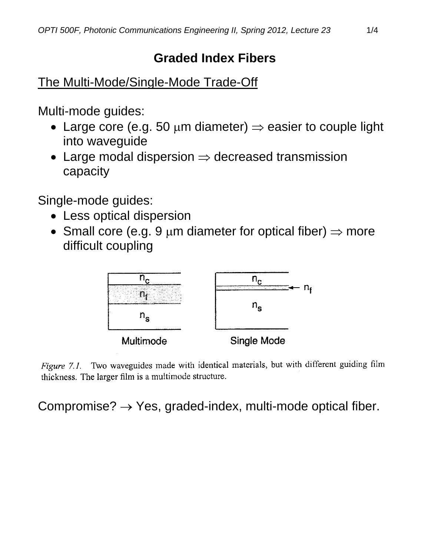## **Graded Index Fibers**

The Multi-Mode/Single-Mode Trade-Off

Multi-mode guides:

- Large core (e.g. 50  $\mu$ m diameter)  $\Rightarrow$  easier to couple light into waveguide
- Large modal dispersion  $\Rightarrow$  decreased transmission capacity

Single-mode guides:

- Less optical dispersion
- Small core (e.g. 9  $\mu$ m diameter for optical fiber)  $\Rightarrow$  more difficult coupling



Figure 7.1. Two waveguides made with identical materials, but with different guiding film thickness. The larger film is a multimode structure.

Compromise?  $\rightarrow$  Yes, graded-index, multi-mode optical fiber.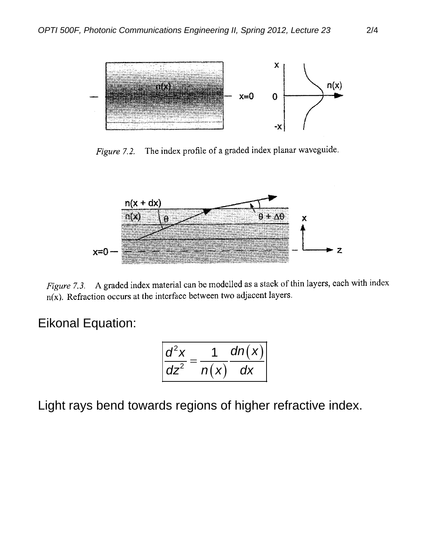

The index profile of a graded index planar waveguide. Figure 7.2.



A graded index material can be modelled as a stack of thin layers, each with index  $Figure 7.3.$  $n(x)$ . Refraction occurs at the interface between two adjacent layers.

## Eikonal Equation:

$$
\left|\frac{d^2x}{dz^2}=\frac{1}{n(x)}\frac{dn(x)}{dx}\right|
$$

Light rays bend towards regions of higher refractive index.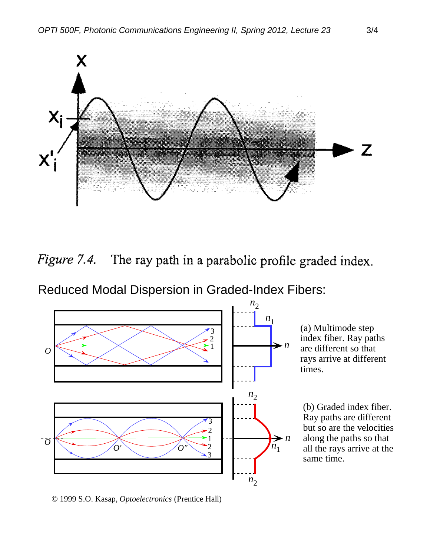

Figure 7.4. The ray path in a parabolic profile graded index.

Reduced Modal Dispersion in Graded-Index Fibers:



(a) Multimode step index fiber. Ray paths are different so that rays arrive at different times.

(b) Graded index fiber. Ray paths are different but so are the velocities along the paths so that all the rays arrive at the same time.

© 1999 S.O. Kasap, *Optoelectronics* (Prentice Hall)